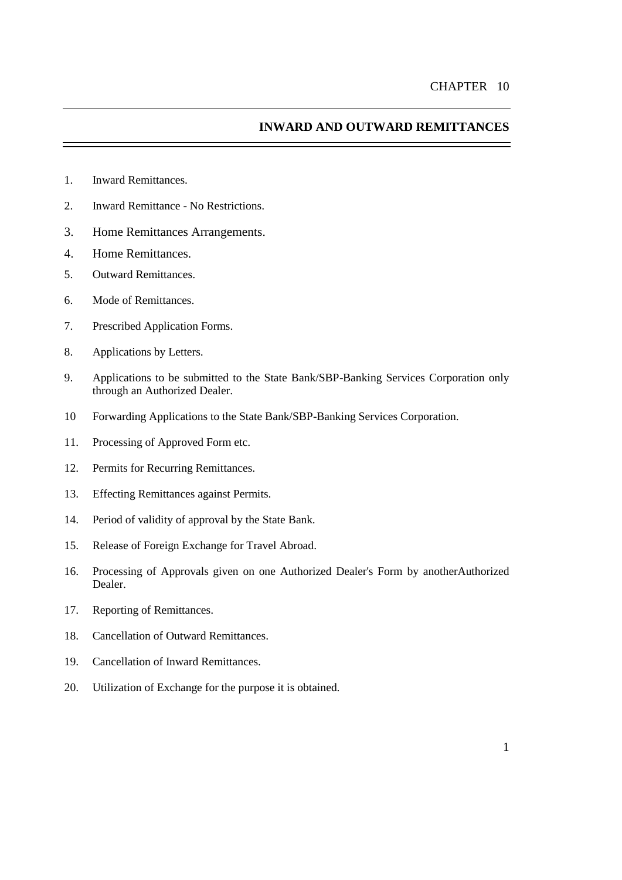# **INWARD AND OUTWARD REMITTANCES**

- 1. Inward Remittances.
- 2. Inward Remittance No Restrictions.
- 3. Home Remittances Arrangements.
- 4. Home Remittances.
- 5. Outward Remittances.
- 6. Mode of Remittances.
- 7. Prescribed Application Forms.
- 8. Applications by Letters.
- 9. Applications to be submitted to the State Bank/SBP-Banking Services Corporation only through an Authorized Dealer.
- 10 Forwarding Applications to the State Bank/SBP-Banking Services Corporation.
- 11. Processing of Approved Form etc.
- 12. Permits for Recurring Remittances.
- 13. Effecting Remittances against Permits.
- 14. Period of validity of approval by the State Bank.
- 15. Release of Foreign Exchange for Travel Abroad.
- 16. Processing of Approvals given on one Authorized Dealer's Form by anotherAuthorized Dealer.
- 17. Reporting of Remittances.
- 18. Cancellation of Outward Remittances.
- 19. Cancellation of Inward Remittances.
- 20. Utilization of Exchange for the purpose it is obtained.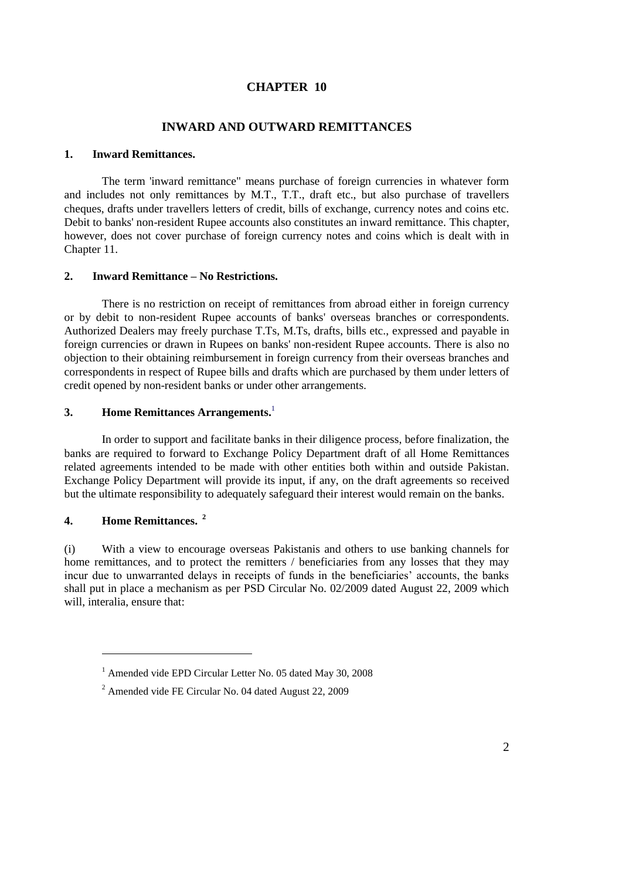# **CHAPTER 10**

### **INWARD AND OUTWARD REMITTANCES**

### **1. Inward Remittances.**

The term 'inward remittance" means purchase of foreign currencies in whatever form and includes not only remittances by M.T., T.T., draft etc., but also purchase of travellers cheques, drafts under travellers letters of credit, bills of exchange, currency notes and coins etc. Debit to banks' non-resident Rupee accounts also constitutes an inward remittance. This chapter, however, does not cover purchase of foreign currency notes and coins which is dealt with in [Chapter 1](http://www.sbp.org.pk/femanual/Updated%20FE%20Manual/chapters/chapter11.htm)1.

### **2. Inward Remittance – No Restrictions.**

There is no restriction on receipt of remittances from abroad either in foreign currency or by debit to non-resident Rupee accounts of banks' overseas branches or correspondents. Authorized Dealers may freely purchase T.Ts, M.Ts, drafts, bills etc., expressed and payable in foreign currencies or drawn in Rupees on banks' non-resident Rupee accounts. There is also no objection to their obtaining reimbursement in foreign currency from their overseas branches and correspondents in respect of Rupee bills and drafts which are purchased by them under letters of credit opened by non-resident banks or under other arrangements.

# **3. Home Remittances Arrangements.** 1

In order to support and facilitate banks in their diligence process, before finalization, the banks are required to forward to Exchange Policy Department draft of all Home Remittances related agreements intended to be made with other entities both within and outside Pakistan. Exchange Policy Department will provide its input, if any, on the draft agreements so received but the ultimate responsibility to adequately safeguard their interest would remain on the banks.

# **4. Home Remittances. <sup>2</sup>**

 $\overline{a}$ 

(i) With a view to encourage overseas Pakistanis and others to use banking channels for home remittances, and to protect the remitters / beneficiaries from any losses that they may incur due to unwarranted delays in receipts of funds in the beneficiaries' accounts, the banks shall put in place a mechanism as per PSD Circular No. 02/2009 dated August 22, 2009 which will, interalia, ensure that:

<sup>&</sup>lt;sup>1</sup> Amended vide EPD Circular Letter No. 05 dated May 30, 2008

<sup>2</sup> Amended vide FE Circular No. 04 dated August 22, 2009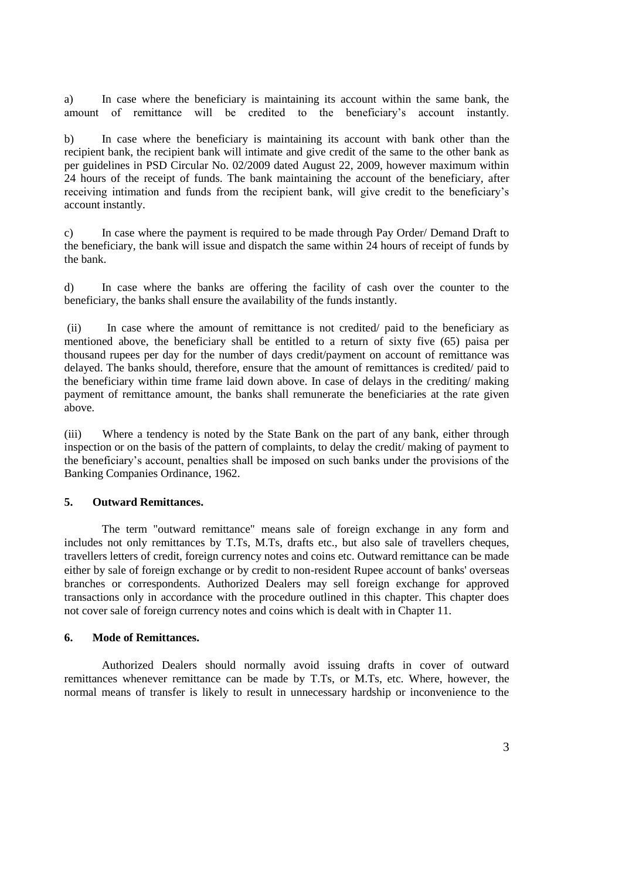a) In case where the beneficiary is maintaining its account within the same bank, the amount of remittance will be credited to the beneficiary's account instantly.

b) In case where the beneficiary is maintaining its account with bank other than the recipient bank, the recipient bank will intimate and give credit of the same to the other bank as per guidelines in PSD Circular No. 02/2009 dated August 22, 2009, however maximum within 24 hours of the receipt of funds. The bank maintaining the account of the beneficiary, after receiving intimation and funds from the recipient bank, will give credit to the beneficiary's account instantly.

c) In case where the payment is required to be made through Pay Order/ Demand Draft to the beneficiary, the bank will issue and dispatch the same within 24 hours of receipt of funds by the bank.

d) In case where the banks are offering the facility of cash over the counter to the beneficiary, the banks shall ensure the availability of the funds instantly.

(ii) In case where the amount of remittance is not credited/ paid to the beneficiary as mentioned above, the beneficiary shall be entitled to a return of sixty five (65) paisa per thousand rupees per day for the number of days credit/payment on account of remittance was delayed. The banks should, therefore, ensure that the amount of remittances is credited/ paid to the beneficiary within time frame laid down above. In case of delays in the crediting/ making payment of remittance amount, the banks shall remunerate the beneficiaries at the rate given above.

(iii) Where a tendency is noted by the State Bank on the part of any bank, either through inspection or on the basis of the pattern of complaints, to delay the credit/ making of payment to the beneficiary's account, penalties shall be imposed on such banks under the provisions of the Banking Companies Ordinance, 1962.

### **5. Outward Remittances.**

The term "outward remittance" means sale of foreign exchange in any form and includes not only remittances by T.Ts, M.Ts, drafts etc., but also sale of travellers cheques, travellers letters of credit, foreign currency notes and coins etc. Outward remittance can be made either by sale of foreign exchange or by credit to non-resident Rupee account of banks' overseas branches or correspondents. Authorized Dealers may sell foreign exchange for approved transactions only in accordance with the procedure outlined in this chapter. This chapter does not cover sale of foreign currency notes and coins which is dealt with in [Chapter 1](http://www.sbp.org.pk/femanual/Updated%20FE%20Manual/chapters/chapter11.htm)1.

### **6. Mode of Remittances.**

Authorized Dealers should normally avoid issuing drafts in cover of outward remittances whenever remittance can be made by T.Ts, or M.Ts, etc. Where, however, the normal means of transfer is likely to result in unnecessary hardship or inconvenience to the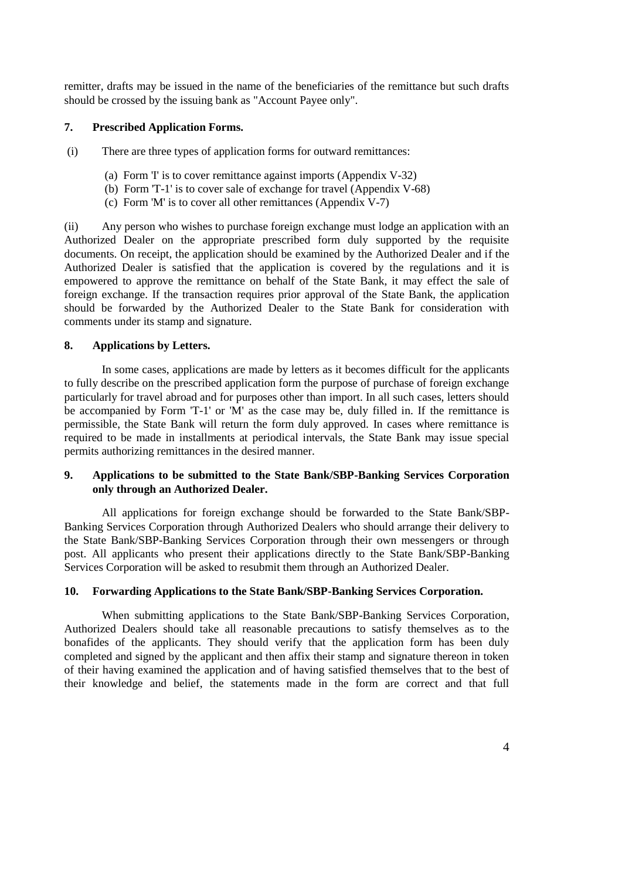remitter, drafts may be issued in the name of the beneficiaries of the remittance but such drafts should be crossed by the issuing bank as "Account Payee only".

## **7. Prescribed Application Forms.**

(i) There are three types of application forms for outward remittances:

- (a) [Form 'I'](http://www.sbp.org.pk/femanual/Updated%20FE%20Manual/appendix%20files/appendix%205/ap5-32.htm) is to cover remittance against imports [\(Appendix](http://www.sbp.org.pk/femanual/Updated%20FE%20Manual/appendix%20files/appendix%205/ap5-32.htm) V-32)
- (b) [Form 'T-1'](http://www.sbp.org.pk/femanual/Updated%20FE%20Manual/appendix%20files/appendix%205/ap5-73.htm) is to cover sale of exchange for travel [\(Appendix](http://www.sbp.org.pk/femanual/Updated%20FE%20Manual/appendix%20files/appendix%205/ap5-73.htm) V-68)
- (c) [Form 'M'](http://www.sbp.org.pk/femanual/Updated%20FE%20Manual/appendix%20files/appendix%205/ap5-10.htm) is to cover all other remittances [\(Appendix](http://www.sbp.org.pk/femanual/Updated%20FE%20Manual/appendix%20files/appendix%205/ap5-10.htm) V-7)

(ii) Any person who wishes to purchase foreign exchange must lodge an application with an Authorized Dealer on the appropriate prescribed form duly supported by the requisite documents. On receipt, the application should be examined by the Authorized Dealer and if the Authorized Dealer is satisfied that the application is covered by the regulations and it is empowered to approve the remittance on behalf of the State Bank, it may effect the sale of foreign exchange. If the transaction requires prior approval of the State Bank, the application should be forwarded by the Authorized Dealer to the State Bank for consideration with comments under its stamp and signature.

## **8. Applications by Letters.**

In some cases, applications are made by letters as it becomes difficult for the applicants to fully describe on the prescribed application form the purpose of purchase of foreign exchange particularly for travel abroad and for purposes other than import. In all such cases, letters should be accompanied by Form ['T-1'](http://www.sbp.org.pk/femanual/Updated%20FE%20Manual/appendix%20files/appendix%205/ap5-73.htm) or ['M'](http://www.sbp.org.pk/femanual/Updated%20FE%20Manual/appendix%20files/appendix%205/ap5-10.htm) as the case may be, duly filled in. If the remittance is permissible, the State Bank will return the form duly approved. In cases where remittance is required to be made in installments at periodical intervals, the State Bank may issue special permits authorizing remittances in the desired manner.

# **9. Applications to be submitted to the State Bank/SBP-Banking Services Corporation only through an Authorized Dealer.**

All applications for foreign exchange should be forwarded to the State Bank/SBP-Banking Services Corporation through Authorized Dealers who should arrange their delivery to the State Bank/SBP-Banking Services Corporation through their own messengers or through post. All applicants who present their applications directly to the State Bank/SBP-Banking Services Corporation will be asked to resubmit them through an Authorized Dealer.

## **10. Forwarding Applications to the State Bank/SBP-Banking Services Corporation.**

When submitting applications to the State Bank/SBP-Banking Services Corporation, Authorized Dealers should take all reasonable precautions to satisfy themselves as to the bonafides of the applicants. They should verify that the application form has been duly completed and signed by the applicant and then affix their stamp and signature thereon in token of their having examined the application and of having satisfied themselves that to the best of their knowledge and belief, the statements made in the form are correct and that full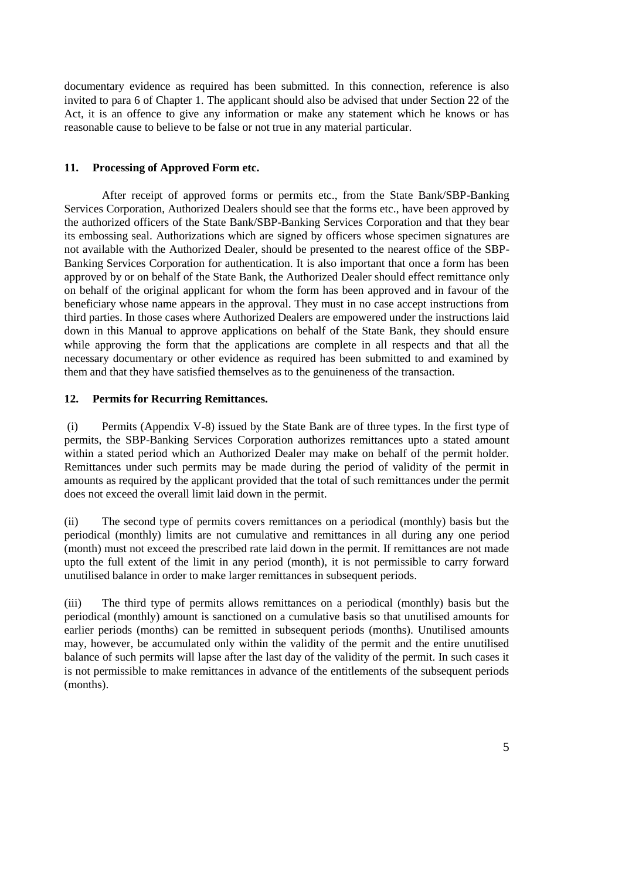documentary evidence as required has been submitted. In this connection, reference is also invited to [para 6 of Chapter 1.](http://www.sbp.org.pk/femanual/Updated%20FE%20Manual/chapters/chapter1.htm#ReferencetotheStateBank) The applicant should also be advised that under Section 22 of the Act, it is an offence to give any information or make any statement which he knows or has reasonable cause to believe to be false or not true in any material particular.

# **11. Processing of Approved Form etc.**

After receipt of approved forms or permits etc., from the State Bank/SBP-Banking Services Corporation, Authorized Dealers should see that the forms etc., have been approved by the authorized officers of the State Bank/SBP-Banking Services Corporation and that they bear its embossing seal. Authorizations which are signed by officers whose specimen signatures are not available with the Authorized Dealer, should be presented to the nearest office of the SBP-Banking Services Corporation for authentication. It is also important that once a form has been approved by or on behalf of the State Bank, the Authorized Dealer should effect remittance only on behalf of the original applicant for whom the form has been approved and in favour of the beneficiary whose name appears in the approval. They must in no case accept instructions from third parties. In those cases where Authorized Dealers are empowered under the instructions laid down in this Manual to approve applications on behalf of the State Bank, they should ensure while approving the form that the applications are complete in all respects and that all the necessary documentary or other evidence as required has been submitted to and examined by them and that they have satisfied themselves as to the genuineness of the transaction.

# **12. Permits for Recurring Remittances.**

(i) Permits [\(Appendix](http://www.sbp.org.pk/femanual/Updated%20FE%20Manual/appendix%20files/appendix%205/ap5-11.htm) V-8) issued by the State Bank are of three types. In the first type of permits, the SBP-Banking Services Corporation authorizes remittances upto a stated amount within a stated period which an Authorized Dealer may make on behalf of the permit holder. Remittances under such permits may be made during the period of validity of the permit in amounts as required by the applicant provided that the total of such remittances under the permit does not exceed the overall limit laid down in the permit.

(ii) The second type of permits covers remittances on a periodical (monthly) basis but the periodical (monthly) limits are not cumulative and remittances in all during any one period (month) must not exceed the prescribed rate laid down in the permit. If remittances are not made upto the full extent of the limit in any period (month), it is not permissible to carry forward unutilised balance in order to make larger remittances in subsequent periods.

(iii) The third type of permits allows remittances on a periodical (monthly) basis but the periodical (monthly) amount is sanctioned on a cumulative basis so that unutilised amounts for earlier periods (months) can be remitted in subsequent periods (months). Unutilised amounts may, however, be accumulated only within the validity of the permit and the entire unutilised balance of such permits will lapse after the last day of the validity of the permit. In such cases it is not permissible to make remittances in advance of the entitlements of the subsequent periods (months).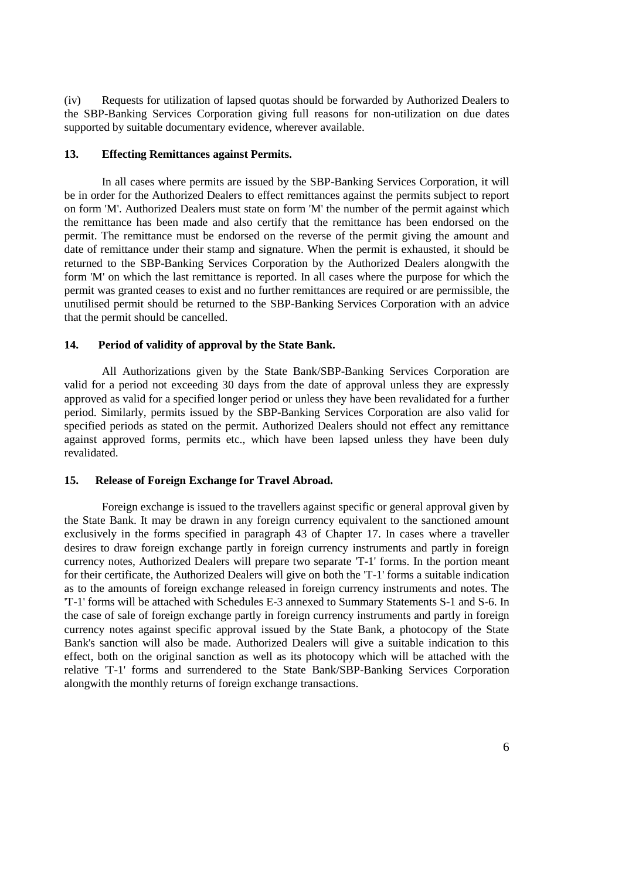(iv) Requests for utilization of lapsed quotas should be forwarded by Authorized Dealers to the SBP-Banking Services Corporation giving full reasons for non-utilization on due dates supported by suitable documentary evidence, wherever available.

### **13. Effecting Remittances against Permits.**

In all cases where permits are issued by the SBP-Banking Services Corporation, it will be in order for the Authorized Dealers to effect remittances against the permits subject to report on [form 'M'.](http://www.sbp.org.pk/femanual/Updated%20FE%20Manual/appendix%20files/appendix%205/ap5-10.htm) Authorized Dealers must state on [form 'M'](http://www.sbp.org.pk/femanual/Updated%20FE%20Manual/appendix%20files/appendix%205/ap5-10.htm) the number of the permit against which the remittance has been made and also certify that the remittance has been endorsed on the permit. The remittance must be endorsed on the reverse of the permit giving the amount and date of remittance under their stamp and signature. When the permit is exhausted, it should be returned to the SBP-Banking Services Corporation by the Authorized Dealers alongwith the [form 'M'](http://www.sbp.org.pk/femanual/Updated%20FE%20Manual/appendix%20files/appendix%205/ap5-10.htm) on which the last remittance is reported. In all cases where the purpose for which the permit was granted ceases to exist and no further remittances are required or are permissible, the unutilised permit should be returned to the SBP-Banking Services Corporation with an advice that the permit should be cancelled.

## **14. Period of validity of approval by the State Bank.**

All Authorizations given by the State Bank/SBP-Banking Services Corporation are valid for a period not exceeding 30 days from the date of approval unless they are expressly approved as valid for a specified longer period or unless they have been revalidated for a further period. Similarly, permits issued by the SBP-Banking Services Corporation are also valid for specified periods as stated on the permit. Authorized Dealers should not effect any remittance against approved forms, permits etc., which have been lapsed unless they have been duly revalidated.

#### **15. Release of Foreign Exchange for Travel Abroad.**

Foreign exchange is issued to the travellers against specific or general approval given by the State Bank. It may be drawn in any foreign currency equivalent to the sanctioned amount exclusively in the forms specified in paragraph 43 of Chapter 17. In cases where a traveller desires to draw foreign exchange partly in foreign currency instruments and partly in foreign currency notes, Authorized Dealers will prepare two separate ['T-1' forms.](http://www.sbp.org.pk/femanual/Updated%20FE%20Manual/appendix%20files/appendix%205/ap5-73.htm) In the portion meant for their certificate, the Authorized Dealers will give on both the ['T-1' forms](http://www.sbp.org.pk/femanual/Updated%20FE%20Manual/appendix%20files/appendix%205/ap5-73.htm) a suitable indication as to the amounts of foreign exchange released in foreign currency instruments and notes. The ['T-1' forms](http://www.sbp.org.pk/femanual/Updated%20FE%20Manual/appendix%20files/appendix%205/ap5-73.htm) will be attached with [Schedules E-3](http://www.sbp.org.pk/femanual/Updated%20FE%20Manual/appendix%20files/appendix%205/ap5-110.htm) annexed to Summary [Statements S-1](http://www.sbp.org.pk/femanual/Updated%20FE%20Manual/appendix%20files/appendix%205/ap5-101.htm) an[d S-6.](http://www.sbp.org.pk/femanual/Updated%20FE%20Manual/appendix%20files/appendix%205/ap5-104.htm) In the case of sale of foreign exchange partly in foreign currency instruments and partly in foreign currency notes against specific approval issued by the State Bank, a photocopy of the State Bank's sanction will also be made. Authorized Dealers will give a suitable indication to this effect, both on the original sanction as well as its photocopy which will be attached with the relative ['T-1' forms](http://www.sbp.org.pk/femanual/Updated%20FE%20Manual/appendix%20files/appendix%205/ap5-73.htm) and surrendered to the State Bank/SBP-Banking Services Corporation alongwith the monthly returns of foreign exchange transactions.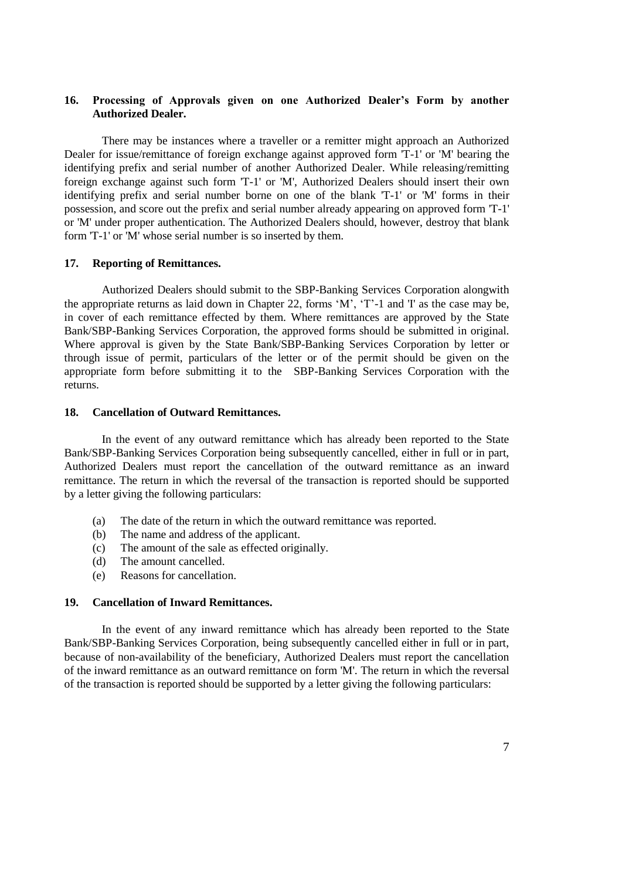# **16. Processing of Approvals given on one Authorized Dealer's Form by another Authorized Dealer.**

There may be instances where a traveller or a remitter might approach an Authorized Dealer for issue/remittance of foreign exchange against approved form ['T-1'](http://www.sbp.org.pk/femanual/Updated%20FE%20Manual/appendix%20files/appendix%205/ap5-73.htm) or ['M'](http://www.sbp.org.pk/femanual/Updated%20FE%20Manual/appendix%20files/appendix%205/ap5-10.htm) bearing the identifying prefix and serial number of another Authorized Dealer. While releasing/remitting foreign exchange against such form ['T-1'](http://www.sbp.org.pk/femanual/Updated%20FE%20Manual/appendix%20files/appendix%205/ap5-73.htm) or ['M',](http://www.sbp.org.pk/femanual/Updated%20FE%20Manual/appendix%20files/appendix%205/ap5-10.htm) Authorized Dealers should insert their own identifying prefix and serial number borne on one of the blank ['T-1'](http://www.sbp.org.pk/femanual/Updated%20FE%20Manual/appendix%20files/appendix%205/ap5-73.htm) or ['M'](http://www.sbp.org.pk/femanual/Updated%20FE%20Manual/appendix%20files/appendix%205/ap5-10.htm) forms in their possession, and score out the prefix and serial number already appearing on approved form ['T-1'](http://www.sbp.org.pk/femanual/Updated%20FE%20Manual/appendix%20files/appendix%205/ap5-73.htm) or ['M'](http://www.sbp.org.pk/femanual/Updated%20FE%20Manual/appendix%20files/appendix%205/ap5-10.htm) under proper authentication. The Authorized Dealers should, however, destroy that blank for[m 'T-1'](http://www.sbp.org.pk/femanual/Updated%20FE%20Manual/appendix%20files/appendix%205/ap5-73.htm) or ['M'](http://www.sbp.org.pk/femanual/Updated%20FE%20Manual/appendix%20files/appendix%205/ap5-10.htm) whose serial number is so inserted by them.

#### **17. Reporting of Remittances.**

Authorized Dealers should submit to the SBP-Banking Services Corporation alongwith the appropriate returns as laid down in [Chapter 2](http://www.sbp.org.pk/femanual/Updated%20FE%20Manual/chapters/chapter22.htm)2, forms ['M'](http://www.sbp.org.pk/femanual/Updated%20FE%20Manual/appendix%20files/appendix%205/ap5-10.htm), ['T'-1](http://www.sbp.org.pk/femanual/Updated%20FE%20Manual/appendix%20files/appendix%205/ap5-73.htm) and ['I'](http://www.sbp.org.pk/femanual/Updated%20FE%20Manual/appendix%20files/appendix%205/ap5-32.htm) as the case may be, in cover of each remittance effected by them. Where remittances are approved by the State Bank/SBP-Banking Services Corporation, the approved forms should be submitted in original. Where approval is given by the State Bank/SBP-Banking Services Corporation by letter or through issue of permit, particulars of the letter or of the permit should be given on the appropriate form before submitting it to the SBP-Banking Services Corporation with the returns.

#### **18. Cancellation of Outward Remittances.**

In the event of any outward remittance which has already been reported to the State Bank/SBP-Banking Services Corporation being subsequently cancelled, either in full or in part, Authorized Dealers must report the cancellation of the outward remittance as an inward remittance. The return in which the reversal of the transaction is reported should be supported by a letter giving the following particulars:

- (a) The date of the return in which the outward remittance was reported.
- (b) The name and address of the applicant.
- (c) The amount of the sale as effected originally.
- (d) The amount cancelled.
- (e) Reasons for cancellation.

### **19. Cancellation of Inward Remittances.**

In the event of any inward remittance which has already been reported to the State Bank/SBP-Banking Services Corporation, being subsequently cancelled either in full or in part, because of non-availability of the beneficiary, Authorized Dealers must report the cancellation of the inward remittance as an outward remittance on form ['M'.](http://www.sbp.org.pk/femanual/Updated%20FE%20Manual/appendix%20files/appendix%205/ap5-10.htm) The return in which the reversal of the transaction is reported should be supported by a letter giving the following particulars: